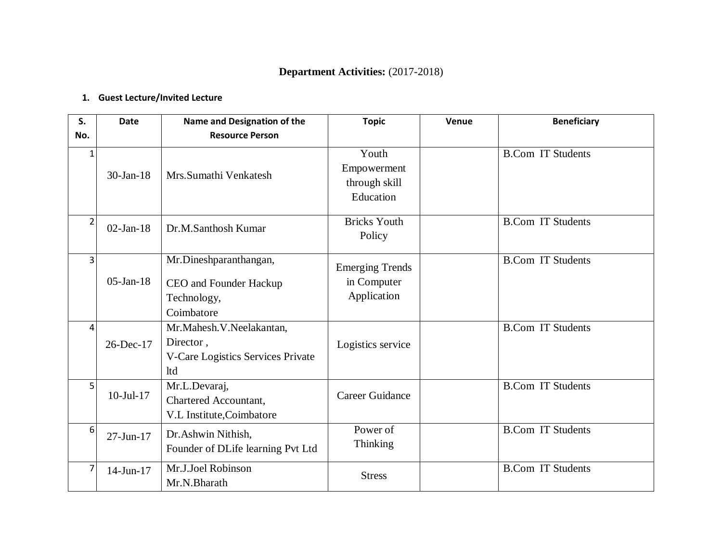# **Department Activities:** (2017-2018)

# **1. Guest Lecture/Invited Lecture**

| S.             | <b>Date</b>     | Name and Designation of the                                                       | <b>Topic</b>                                         | Venue | <b>Beneficiary</b>       |
|----------------|-----------------|-----------------------------------------------------------------------------------|------------------------------------------------------|-------|--------------------------|
| No.            |                 | <b>Resource Person</b>                                                            |                                                      |       |                          |
| 1              | $30-Ian-18$     | Mrs.Sumathi Venkatesh                                                             | Youth<br>Empowerment<br>through skill<br>Education   |       | <b>B.Com IT Students</b> |
| $\overline{2}$ | $02$ -Jan-18    | Dr.M.Santhosh Kumar                                                               | <b>Bricks Youth</b><br>Policy                        |       | <b>B.Com IT Students</b> |
| 3              | $05$ -Jan-18    | Mr.Dineshparanthangan,<br>CEO and Founder Hackup<br>Technology,<br>Coimbatore     | <b>Emerging Trends</b><br>in Computer<br>Application |       | <b>B.Com IT Students</b> |
| 4              | 26-Dec-17       | Mr.Mahesh.V.Neelakantan,<br>Director,<br>V-Care Logistics Services Private<br>ltd | Logistics service                                    |       | <b>B.Com IT Students</b> |
| 5              | $10$ -Jul- $17$ | Mr.L.Devaraj,<br>Chartered Accountant,<br>V.L Institute, Coimbatore               | Career Guidance                                      |       | <b>B.Com IT Students</b> |
| 6              | $27 - Jun - 17$ | Dr.Ashwin Nithish,<br>Founder of DLife learning Pvt Ltd                           | Power of<br><b>Thinking</b>                          |       | <b>B.Com IT Students</b> |
| 7              | 14-Jun-17       | Mr.J.Joel Robinson<br>Mr.N.Bharath                                                | <b>Stress</b>                                        |       | <b>B.Com IT Students</b> |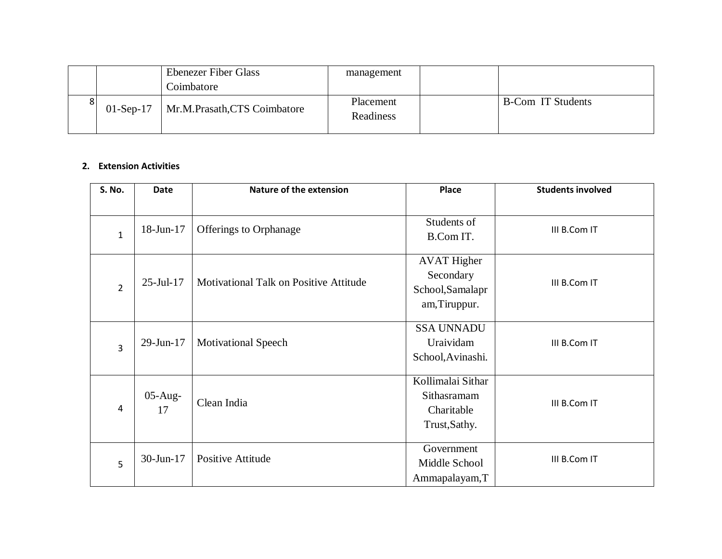|  | <b>Ebenezer Fiber Glass</b>              | management             |                          |
|--|------------------------------------------|------------------------|--------------------------|
|  | Coimbatore                               |                        |                          |
|  | 01-Sep-17   Mr.M.Prasath, CTS Coimbatore | Placement<br>Readiness | <b>B-Com IT Students</b> |

#### **2. Extension Activities**

| S. No.         | <b>Date</b>      | <b>Nature of the extension</b>         | <b>Place</b>                                                         | <b>Students involved</b> |
|----------------|------------------|----------------------------------------|----------------------------------------------------------------------|--------------------------|
| $\mathbf{1}$   | 18-Jun-17        | Offerings to Orphanage                 | Students of<br>B.Com IT.                                             | III B.Com IT             |
| $\overline{2}$ | $25$ -Jul-17     | Motivational Talk on Positive Attitude | <b>AVAT Higher</b><br>Secondary<br>School, Samalapr<br>am, Tiruppur. | III B.Com IT             |
| 3              | 29-Jun-17        | <b>Motivational Speech</b>             | <b>SSA UNNADU</b><br>Uraividam<br>School, Avinashi.                  | III B.Com IT             |
| 4              | $05$ -Aug-<br>17 | Clean India                            | Kollimalai Sithar<br>Sithasramam<br>Charitable<br>Trust, Sathy.      | III B.Com IT             |
| 5              | 30-Jun-17        | <b>Positive Attitude</b>               | Government<br>Middle School<br>Ammapalayam, T                        | III B.Com IT             |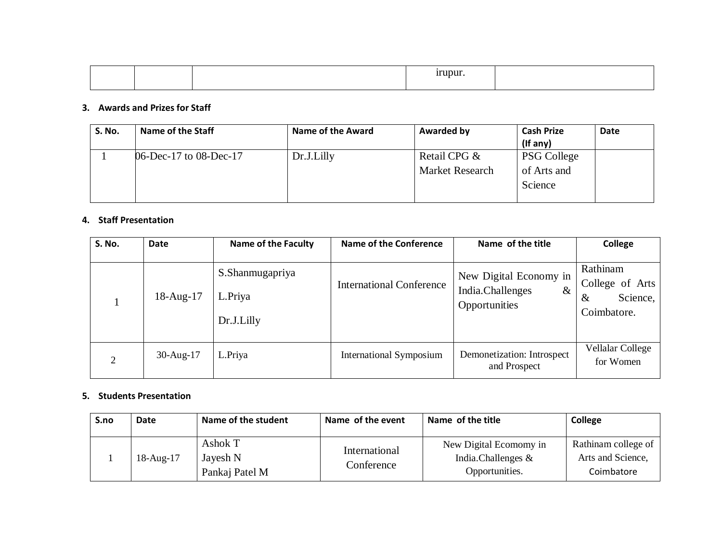|  | .<br>. |  |
|--|--------|--|
|  |        |  |

## **3. Awards and Prizes for Staff**

| <b>S. No.</b> | Name of the Staff      | <b>Name of the Award</b> | <b>Awarded by</b>                      | <b>Cash Prize</b><br>(If any)                | Date |
|---------------|------------------------|--------------------------|----------------------------------------|----------------------------------------------|------|
|               | 06-Dec-17 to 08-Dec-17 | Dr.J.Lilly               | Retail CPG &<br><b>Market Research</b> | <b>PSG College</b><br>of Arts and<br>Science |      |

#### **4. Staff Presentation**

| <b>S. No.</b>  | Date            | <b>Name of the Faculty</b>               | <b>Name of the Conference</b>   | Name of the title                                                   | College                                                        |
|----------------|-----------------|------------------------------------------|---------------------------------|---------------------------------------------------------------------|----------------------------------------------------------------|
|                | $18$ -Aug- $17$ | S.Shanmugapriya<br>L.Priya<br>Dr.J.Lilly | <b>International Conference</b> | New Digital Economy in<br>India.Challenges<br>$\&$<br>Opportunities | Rathinam<br>College of Arts<br>Science,<br>$\&$<br>Coimbatore. |
| $\overline{2}$ | $30$ -Aug-17    | L.Priya                                  | <b>International Symposium</b>  | Demonetization: Introspect<br>and Prospect                          | Vellalar College<br>for Women                                  |

#### **5. Students Presentation**

| S.no | Date      | Name of the student                   | Name of the event           | Name of the title                                              | College                                                |
|------|-----------|---------------------------------------|-----------------------------|----------------------------------------------------------------|--------------------------------------------------------|
|      | 18-Aug-17 | Ashok T<br>Jayesh N<br>Pankaj Patel M | International<br>Conference | New Digital Ecomomy in<br>India.Challenges &<br>Opportunities. | Rathinam college of<br>Arts and Science,<br>Coimbatore |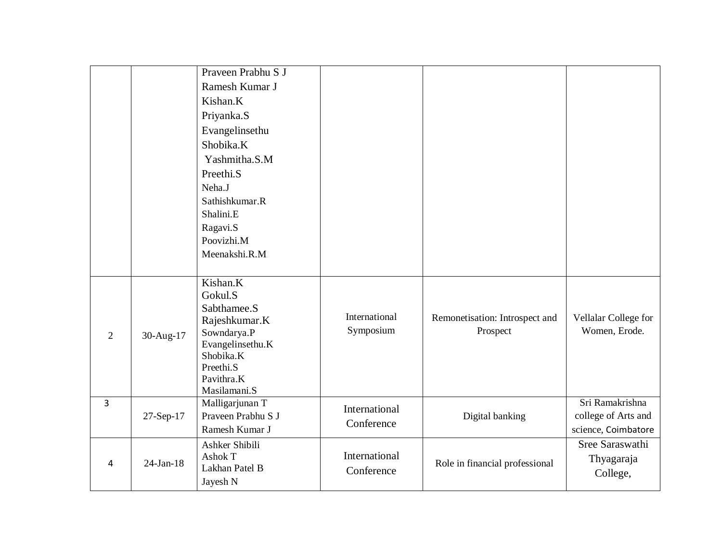|                |              | Praveen Prabhu S J<br>Ramesh Kumar J<br>Kishan.K<br>Priyanka.S<br>Evangelinsethu<br>Shobika.K<br>Yashmitha.S.M<br>Preethi.S<br>Neha.J<br>Sathishkumar.R<br>Shalini.E<br>Ragavi.S<br>Poovizhi.M<br>Meenakshi.R.M |                             |                                            |                                                               |
|----------------|--------------|-----------------------------------------------------------------------------------------------------------------------------------------------------------------------------------------------------------------|-----------------------------|--------------------------------------------|---------------------------------------------------------------|
| $\mathfrak{2}$ | 30-Aug-17    | Kishan.K<br>Gokul.S<br>Sabthamee.S<br>Rajeshkumar.K<br>Sowndarya.P<br>Evangelinsethu.K<br>Shobika.K<br>Preethi.S<br>Pavithra.K<br>Masilamani.S                                                                  | International<br>Symposium  | Remonetisation: Introspect and<br>Prospect | Vellalar College for<br>Women, Erode.                         |
| 3              | 27-Sep-17    | Malligarjunan T<br>Prayeen Prabhu S J<br>Ramesh Kumar J                                                                                                                                                         | International<br>Conference | Digital banking                            | Sri Ramakrishna<br>college of Arts and<br>science, Coimbatore |
| 4              | $24$ -Jan-18 | Ashker Shibili<br>Ashok T<br>Lakhan Patel B<br>Jayesh N                                                                                                                                                         | International<br>Conference | Role in financial professional             | Sree Saraswathi<br>Thyagaraja<br>College,                     |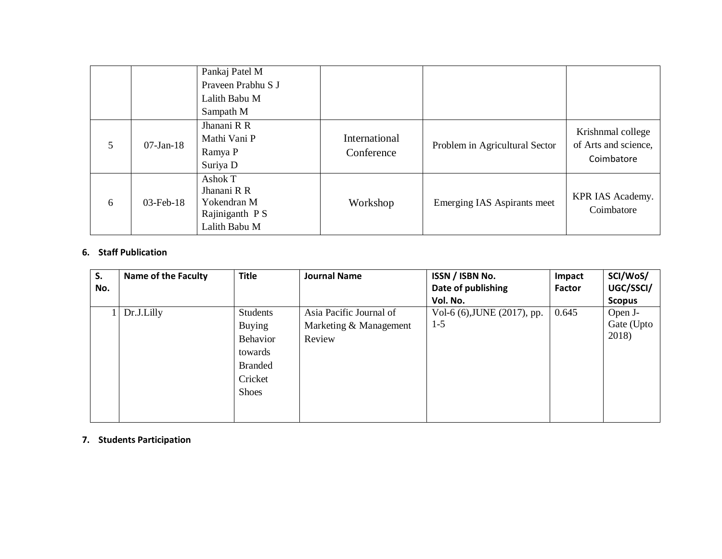|   |              | Pankaj Patel M<br>Prayeen Prabhu S J<br>Lalith Babu M<br>Sampath M       |                             |                                |                                                         |
|---|--------------|--------------------------------------------------------------------------|-----------------------------|--------------------------------|---------------------------------------------------------|
| 5 | $07$ -Jan-18 | Jhanani R R<br>Mathi Vani P<br>Ramya P<br>Suriya D                       | International<br>Conference | Problem in Agricultural Sector | Krishnmal college<br>of Arts and science,<br>Coimbatore |
| 6 | $03$ -Feb-18 | Ashok T<br>Jhanani R R<br>Yokendran M<br>Rajiniganth PS<br>Lalith Babu M | Workshop                    | Emerging IAS Aspirants meet    | KPR IAS Academy.<br>Coimbatore                          |

## **6. Staff Publication**

| S.  | <b>Name of the Faculty</b> | <b>Title</b>   | <b>Journal Name</b>     | ISSN / ISBN No.             | Impact | SCI/WoS/      |
|-----|----------------------------|----------------|-------------------------|-----------------------------|--------|---------------|
| No. |                            |                |                         | Date of publishing          | Factor | UGC/SSCI/     |
|     |                            |                |                         | Vol. No.                    |        | <b>Scopus</b> |
|     | Dr.J.Lilly                 | Students       | Asia Pacific Journal of | Vol-6 (6), JUNE (2017), pp. | 0.645  | Open J-       |
|     |                            | <b>Buying</b>  | Marketing & Management  | $1 - 5$                     |        | Gate (Upto    |
|     |                            | Behavior       | Review                  |                             |        | 2018)         |
|     |                            | towards        |                         |                             |        |               |
|     |                            | <b>Branded</b> |                         |                             |        |               |
|     |                            | Cricket        |                         |                             |        |               |
|     |                            | <b>Shoes</b>   |                         |                             |        |               |
|     |                            |                |                         |                             |        |               |
|     |                            |                |                         |                             |        |               |

#### **7. Students Participation**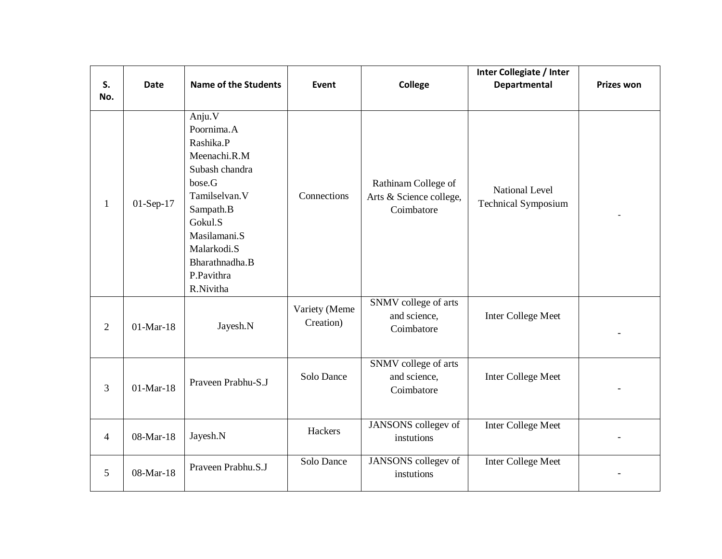| S.<br>No.      | <b>Date</b> | <b>Name of the Students</b>                                                                                                                                                                        | <b>Event</b>               | <b>College</b>                                               | Inter Collegiate / Inter<br><b>Departmental</b> | <b>Prizes won</b> |
|----------------|-------------|----------------------------------------------------------------------------------------------------------------------------------------------------------------------------------------------------|----------------------------|--------------------------------------------------------------|-------------------------------------------------|-------------------|
| $\mathbf{1}$   | $01-Sep-17$ | Anju.V<br>Poornima.A<br>Rashika.P<br>Meenachi.R.M<br>Subash chandra<br>bose.G<br>Tamilselvan.V<br>Sampath.B<br>Gokul.S<br>Masilamani.S<br>Malarkodi.S<br>Bharathnadha.B<br>P.Pavithra<br>R.Nivitha | Connections                | Rathinam College of<br>Arts & Science college,<br>Coimbatore | National Level<br><b>Technical Symposium</b>    |                   |
| 2              | $01-Mar-18$ | Jayesh.N                                                                                                                                                                                           | Variety (Meme<br>Creation) | SNMV college of arts<br>and science,<br>Coimbatore           | Inter College Meet                              |                   |
| 3              | $01-Mar-18$ | Praveen Prabhu-S.J                                                                                                                                                                                 | Solo Dance                 | SNMV college of arts<br>and science,<br>Coimbatore           | Inter College Meet                              |                   |
| $\overline{4}$ | 08-Mar-18   | Jayesh.N                                                                                                                                                                                           | Hackers                    | JANSONS collegev of<br>instutions                            | Inter College Meet                              |                   |
| 5              | 08-Mar-18   | Praveen Prabhu.S.J                                                                                                                                                                                 | Solo Dance                 | JANSONS collegev of<br>instutions                            | Inter College Meet                              |                   |